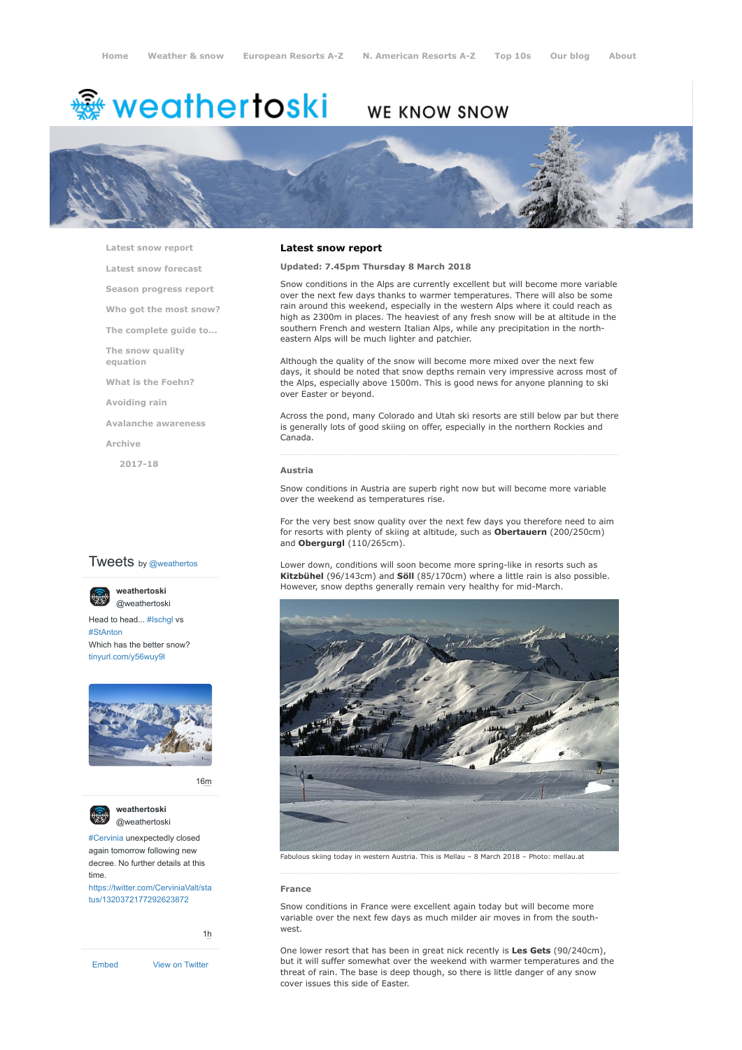# <del>▒</del> weathertoski

# WE KNOW SNOW



**[Latest snow report](https://www.weathertoski.co.uk/weather-snow/latest-snow-report/)**

**[Latest snow forecast](https://www.weathertoski.co.uk/weather-snow/latest-snow-forecast/)**

**[Season progress report](https://www.weathertoski.co.uk/weather-snow/season-progress-report/)**

**[Who got the most snow?](https://www.weathertoski.co.uk/weather-snow/who-got-the-most-snow/)**

**[The complete guide to...](https://www.weathertoski.co.uk/weather-snow/the-complete-guide-to/)**

**[The snow quality](https://www.weathertoski.co.uk/weather-snow/the-snow-quality-equation/)**

**[What is the Foehn?](https://www.weathertoski.co.uk/weather-snow/what-is-the-foehn/)**

**[Avoiding rain](https://www.weathertoski.co.uk/weather-snow/avoiding-rain/)**

**[Avalanche awareness](https://www.weathertoski.co.uk/weather-snow/avalanche-awareness/)**

**[Archive](https://www.weathertoski.co.uk/weather-snow/archive/)**

**equation**

**[2017-18](https://www.weathertoski.co.uk/weather-snow/archive/2017-18/)**

# **Tweets** by @weathertos

**weathertoski**



Head to head... [#Ischgl](https://twitter.com/hashtag/Ischgl?src=hash) vs [#StAnton](https://twitter.com/hashtag/StAnton?src=hash) Which has the better snow? [tinyurl.com/y56wuy9l](https://t.co/AeKkyB0N9S)



[16m](https://twitter.com/weathertoski/status/1320387692862050304)



**weathertoski** [@weathertoski](https://twitter.com/weathertoski)

[#Cervinia](https://twitter.com/hashtag/Cervinia?src=hash) unexpectedly closed again tomorrow following new decree. No further details at this time. [https://twitter.com/CerviniaValt/sta](https://twitter.com/CerviniaValt/status/1320372177292623872)

tus/1320372177292623872

[1h](https://twitter.com/weathertoski/status/1320376647305093126)

[Embed](https://publish.twitter.com/?url=https%3A%2F%2Ftwitter.com%2Fweathertoski) [View on Twitter](https://twitter.com/weathertoski)

# **Latest snow report**

# **Updated: 7.45pm Thursday 8 March 2018**

Snow conditions in the Alps are currently excellent but will become more variable over the next few days thanks to warmer temperatures. There will also be some rain around this weekend, especially in the western Alps where it could reach as high as 2300m in places. The heaviest of any fresh snow will be at altitude in the southern French and western Italian Alps, while any precipitation in the northeastern Alps will be much lighter and patchier.

Although the quality of the snow will become more mixed over the next few days, it should be noted that snow depths remain very impressive across most of the Alps, especially above 1500m. This is good news for anyone planning to ski over Easter or beyond.

Across the pond, many Colorado and Utah ski resorts are still below par but there is generally lots of good skiing on offer, especially in the northern Rockies and Canada.

#### **Austria**

Snow conditions in Austria are superb right now but will become more variable over the weekend as temperatures rise.

For the very best snow quality over the next few days you therefore need to aim for resorts with plenty of skiing at altitude, such as **Obertauern** (200/250cm) and **Obergurgl** (110/265cm).

Lower down, conditions will soon become more spring-like in resorts such as **Kitzbühel** (96/143cm) and **Söll** (85/170cm) where a little rain is also possible. However, snow depths generally remain very healthy for mid-March.



Fabulous skiing today in western Austria. This is Mellau – 8 March 2018 – Photo: mellau.at

# **France**

Snow conditions in France were excellent again today but will become more variable over the next few days as much milder air moves in from the southwest.

One lower resort that has been in great nick recently is **Les Gets** (90/240cm), but it will suffer somewhat over the weekend with warmer temperatures and the threat of rain. The base is deep though, so there is little danger of any snow cover issues this side of Easter.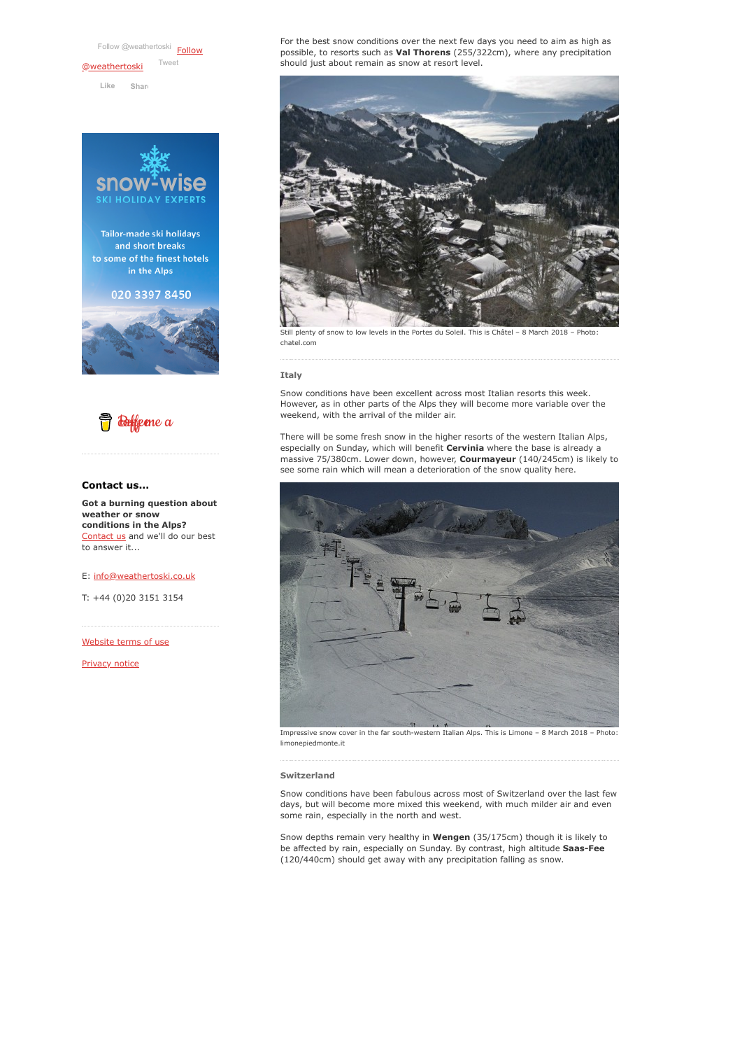[Follow @weathertoski](https://twitter.com/intent/follow?original_referer=https%3A%2F%2Fwww.weathertoski.co.uk%2F&ref_src=twsrc%5Etfw®ion=follow_link&screen_name=weathertoski&tw_p=followbutton) Follow [@weathertoski](https://twitter.com/weathertoski?ref_src=twsrc%5Etfw) [Tweet](https://twitter.com/intent/tweet?original_referer=https%3A%2F%2Fwww.weathertoski.co.uk%2F&ref_src=twsrc%5Etfw&text=Weather%20to%20ski%20-%20Snow%20report%20-%208%20March%202018&tw_p=tweetbutton&url=https%3A%2F%2Fwww.weathertoski.co.uk%2Fweather-snow%2Farchive%2Fsnow-report-8-march-2018%2F)

**Like [Shar](https://www.facebook.com/sharer/sharer.php?u=https%3A%2F%2Fwww.weathertoski.co.uk%2F&display=popup&ref=plugin&src=like&kid_directed_site=0)e**





# **Contact us...**

**Got a burning question about weather or snow conditions in the Alps?** [Contact us](https://www.weathertoski.co.uk/about-1/contact-us/) and we'll do our best to answer it...

E: [info@weathertoski.co.uk](mailto:fraser@weathertoski.co.uk)

T: +44 (0)20 3151 3154

[Website terms of use](https://www.weathertoski.co.uk/about-1/website-terms-of-use/)

[Privacy notice](https://www.weathertoski.co.uk/about-1/privacy-notice/)

For the best snow conditions over the next few days you need to aim as high as possible, to resorts such as **Val Thorens** (255/322cm), where any precipitation should just about remain as snow at resort level.



Still plenty of snow to low levels in the Portes du Soleil. This is Châtel – 8 March 2018 – chatel.com

## **Italy**

Snow conditions have been excellent across most Italian resorts this week. However, as in other parts of the Alps they will become more variable over the weekend, with the arrival of the milder air.

There will be some fresh snow in the higher resorts of the western Italian Alps, especially on Sunday, which will benefit **Cervinia** where the base is already a massive 75/380cm. Lower down, however, **Courmayeur** (140/245cm) is likely to see some rain which will mean a deterioration of the snow quality here.



Impressive snow cover in the far south-western Italian Alps. This is Limone – 8 March 2018 – Photo: limonepiedmonte.it

## **Switzerland**

Snow conditions have been fabulous across most of Switzerland over the last few days, but will become more mixed this weekend, with much milder air and even some rain, especially in the north and west.

Snow depths remain very healthy in **Wengen** (35/175cm) though it is likely to be affected by rain, especially on Sunday. By contrast, high altitude **Saas-Fee** (120/440cm) should get away with any precipitation falling as snow.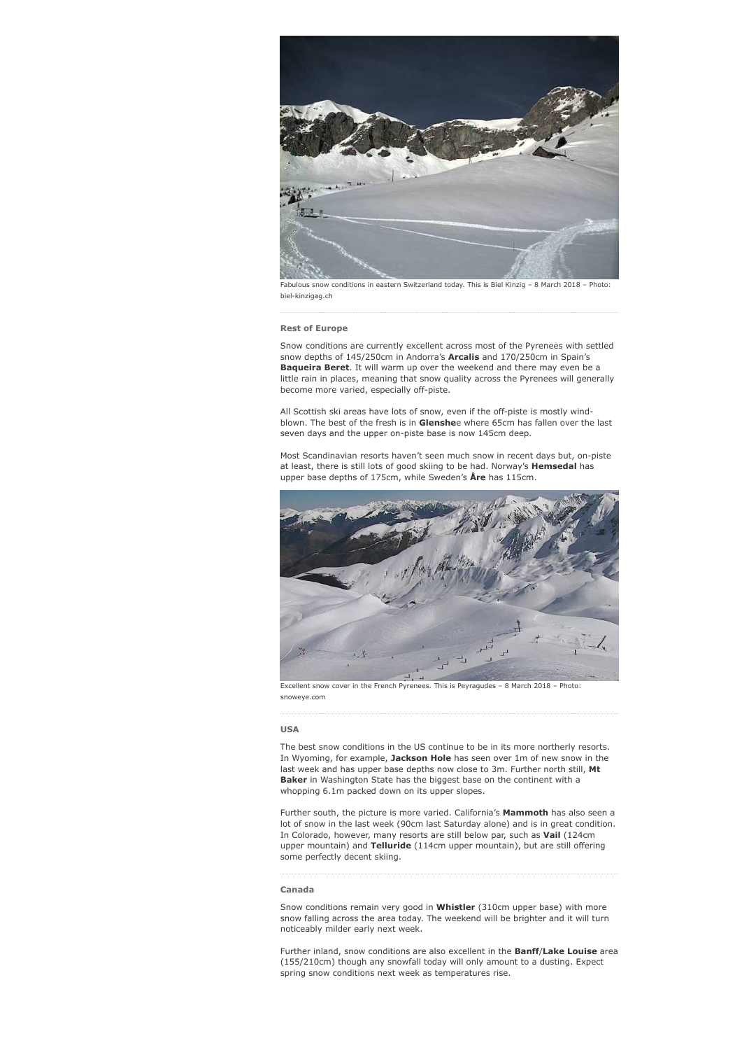

Fabulous snow conditions in eastern Switzerland today. This is Biel Kinzig – 8 March 2018 – Photo: biel-kinzigag.ch

## **Rest of Europe**

Snow conditions are currently excellent across most of the Pyrenees with settled snow depths of 145/250cm in Andorra's **Arcalis** and 170/250cm in Spain's **Baqueira Beret**. It will warm up over the weekend and there may even be a little rain in places, meaning that snow quality across the Pyrenees will generally become more varied, especially off-piste.

All Scottish ski areas have lots of snow, even if the off-piste is mostly windblown. The best of the fresh is in **Glenshe**e where 65cm has fallen over the last seven days and the upper on-piste base is now 145cm deep.

Most Scandinavian resorts haven't seen much snow in recent days but, on-piste at least, there is still lots of good skiing to be had. Norway's **Hemsedal** has upper base depths of 175cm, while Sweden's **Åre** has 115cm.



Excellent snow cover in the French Pyrenees. This is Peyragudes – 8 March 2018 – Photo: snoweye.com

# **USA**

The best snow conditions in the US continue to be in its more northerly resorts. In Wyoming, for example, **Jackson Hole** has seen over 1m of new snow in the last week and has upper base depths now close to 3m. Further north still, **Mt Baker** in Washington State has the biggest base on the continent with a whopping 6.1m packed down on its upper slopes.

Further south, the picture is more varied. California's **Mammoth** has also seen a lot of snow in the last week (90cm last Saturday alone) and is in great condition. In Colorado, however, many resorts are still below par, such as **Vail** (124cm upper mountain) and **Telluride** (114cm upper mountain), but are still offering some perfectly decent skiing.

#### **Canada**

Snow conditions remain very good in **Whistler** (310cm upper base) with more snow falling across the area today. The weekend will be brighter and it will turn noticeably milder early next week.

Further inland, snow conditions are also excellent in the **Banff**/**Lake Louise** area (155/210cm) though any snowfall today will only amount to a dusting. Expect spring snow conditions next week as temperatures rise.